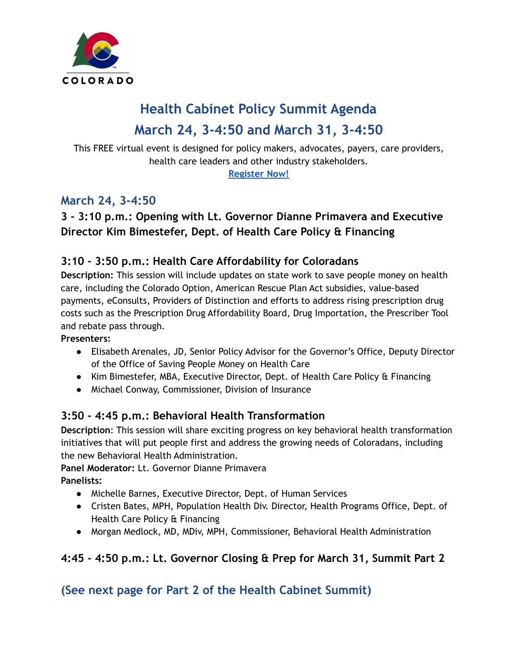

# **Health Cabinet Policy Summit Agenda March 24, 3-4:50 and March 31, 3-4:50**

This FREE virtual event is designed for policy makers, advocates, payers, care providers, health care leaders and other industry stakeholders.

**[Register](https://us06web.zoom.us/webinar/register/WN_D6Db8-8XReG3grzEpvKMGA) Now!**

# **March 24, 3-4:50**

## **3 - 3:10 p.m.: Opening with Lt. Governor Dianne Primavera and Executive Director Kim Bimestefer, Dept. of Health Care Policy & Financing**

#### **3:10 - 3:50 p.m.: Health Care Affordability for Coloradans**

**Description:** This session will include updates on state work to save people money on health care, including the Colorado Option, American Rescue Plan Act subsidies, value-based payments, eConsults, Providers of Distinction and efforts to address rising prescription drug costs such as the Prescription Drug Affordability Board, Drug Importation, the Prescriber Tool and rebate pass through.

**Presenters:**

- Elisabeth Arenales, JD, Senior Policy Advisor for the Governor's Office, Deputy Director of the Office of Saving People Money on Health Care
- Kim Bimestefer, MBA, Executive Director, Dept. of Health Care Policy & Financing
- Michael Conway, Commissioner, Division of Insurance

#### **3:50 - 4:45 p.m.: Behavioral Health Transformation**

**Description**: This session will share exciting progress on key behavioral health transformation initiatives that will put people first and address the growing needs of Coloradans, including the new Behavioral Health Administration.

#### **Panel Moderator:** Lt. Governor Dianne Primavera

**Panelists:**

- Michelle Barnes, Executive Director, Dept. of Human Services
- Cristen Bates, MPH, Population Health Div. Director, Health Programs Office, Dept. of Health Care Policy & Financing
- Morgan Medlock, MD, MDiv, MPH, Commissioner, Behavioral Health Administration

## **4:45 - 4:50 p.m.: Lt. Governor Closing & Prep for March 31, Summit Part 2**

## **(See next page for Part 2 of the Health Cabinet Summit)**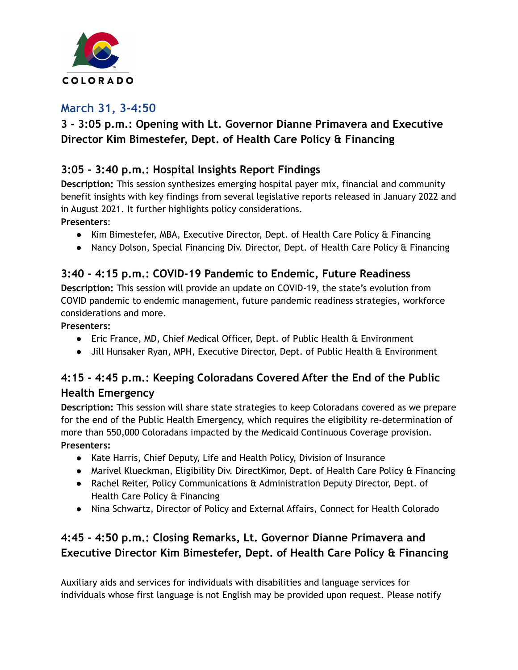

#### **March 31, 3-4:50**

## **3 - 3:05 p.m.: Opening with Lt. Governor Dianne Primavera and Executive Director Kim Bimestefer, Dept. of Health Care Policy & Financing**

#### **3:05 - 3:40 p.m.: Hospital Insights Report Findings**

**Description:** This session synthesizes emerging hospital payer mix, financial and community benefit insights with key findings from several legislative reports released in January 2022 and in August 2021. It further highlights policy considerations.

**Presenters**:

- Kim Bimestefer, MBA, Executive Director, Dept. of Health Care Policy & Financing
- Nancy Dolson, Special Financing Div. Director, Dept. of Health Care Policy & Financing

#### **3:40 - 4:15 p.m.: COVID-19 Pandemic to Endemic, Future Readiness**

**Description:** This session will provide an update on COVID-19, the state's evolution from COVID pandemic to endemic management, future pandemic readiness strategies, workforce considerations and more.

**Presenters:**

- Eric France, MD, Chief Medical Officer, Dept. of Public Health & Environment
- Jill Hunsaker Ryan, MPH, Executive Director, Dept. of Public Health & Environment

#### **4:15 - 4:45 p.m.: Keeping Coloradans Covered After the End of the Public Health Emergency**

**Description:** This session will share state strategies to keep Coloradans covered as we prepare for the end of the Public Health Emergency, which requires the eligibility re-determination of more than 550,000 Coloradans impacted by the Medicaid Continuous Coverage provision. **Presenters:**

- Kate Harris, Chief Deputy, Life and Health Policy, Division of Insurance
- Marivel Klueckman, Eligibility Div. DirectKimor, Dept. of Health Care Policy & Financing
- Rachel Reiter, Policy Communications & Administration Deputy Director, Dept. of Health Care Policy & Financing
- Nina Schwartz, Director of Policy and External Affairs, Connect for Health Colorado

## **4:45 - 4:50 p.m.: Closing Remarks, Lt. Governor Dianne Primavera and Executive Director Kim Bimestefer, Dept. of Health Care Policy & Financing**

Auxiliary aids and services for individuals with disabilities and language services for individuals whose first language is not English may be provided upon request. Please notify